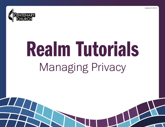



# Realm Tutorials Managing Privacy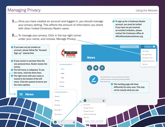# Managing Privacy

- **1....** Once you have created an account and logged in, you should manage your privacy setting. This affects the amount of information you share with other invited Centenary Realm users.
- **2....** To manage your privacy. Click in the top right corner under your name, and choose, Manage Privacy.

To sign up for a Centenary Realm account, you must be invited. If you have not yet received an emailed invitation, please contact the Centenary office at office@mankatocentenary.org.

If you have not yet created an account, please follow the "Account Sign-up" tutorial first.

If your screen is narrower than the one pictured here, Realm resizes the screen.

**The left menu is collapsed. To see** the menu, click the three lines.  $\blacksquare$  The right menu with your name is moved to the bottom of the left menu. Click the upward arrow to see the menu options.

**News** 

**News** Manage Account Notification Settings Sign Out  $\Box$ Ю Your feed doesn't have any activity yet. Consider posting a welcome message to get things started. Start something. This landing page will show differently for every user. This may not be exactly what you see.  $\mathbf{A}$   $\mathbf{v}$ 

## Groups  $\sim$

Communications ^

**News** 

Inbox

Chat

Events

Giving

Communications  $\sim$ 

Serving  $\sim$ 

Directory

 $\bullet$ 

Events

Giving

Manage Account **Notification Settings** 

Manage Privacy

My Profile

Sign Out

ℯ

Support | Privacy | Terms of Use Copyright © 2021 ACS Technologies

## Using the Website

TA Tutorial  $\sim$   $\bullet$ 

My Profile Manage Privacy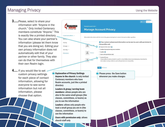### Using the Website

# Managing Privacy

- **3.....**Please, select to share your information with "Anyone in the church." Only invited Centenary members constitute "Anyone." This is exactly like a printed directory. You can also share your partner's information (please let them know that you are doing so). Editing your own privacy information does not automatically edit that of your partner or other family. They also can do that for themselves with their own Realm login.
- 4.... If you would like to set custom privacy settings for each piece of contact information, allowing for everyone to see some information but not all information, please choose that option.



directory

Leaders & group/serving team members: allows people who are also in the same small groups (like classes, committees, or teams) as you to see the information

Leaders: allows only people who lead a small group you are in (like classes, committees, or teams) to see the information

Users with permission only: allows church staff only